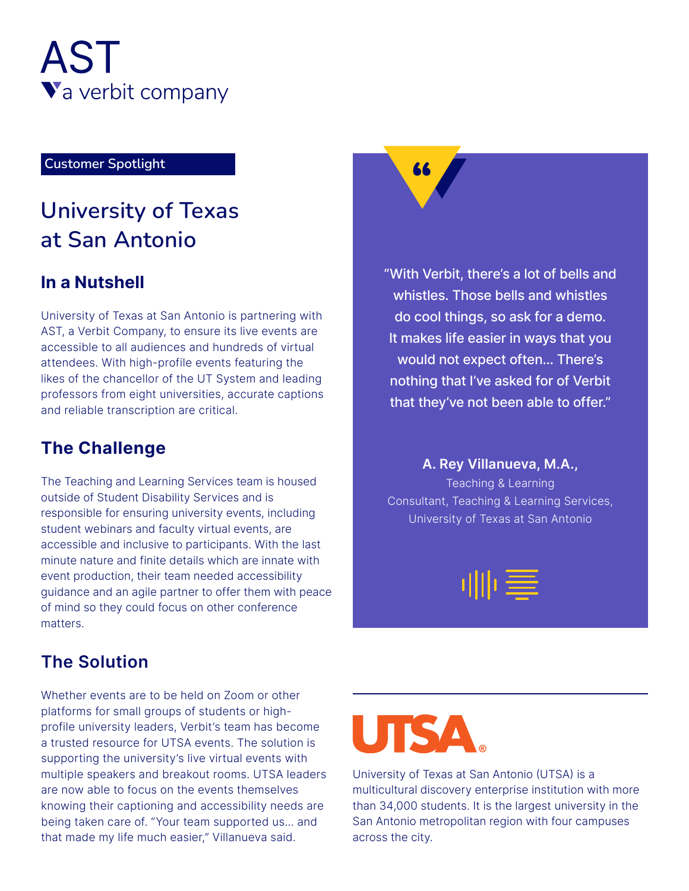

# Eustomer Spotlight **Spotlight Spotlight**

## **University of Texas Antonio San at**

### **In a Nutshell**

University of Texas at San Antonio is partnering with AST, a Verbit Company, to ensure its live events are accessible to all audiences and hundreds of virtual attendees. With high-profile events featuring the likes of the chancellor of the UT System and leading professors from eight universities, accurate captions and reliable transcription are critical.

## **The Challenge**

The Teaching and Learning Services team is housed outside of Student Disability Services and is responsible for ensuring university events, including student webinars and faculty virtual events, are accessible and inclusive to participants. With the last minute nature and finite details which are innate with event production, their team needed accessibility guidance and an agile partner to offer them with peace of mind so they could focus on other conference matters.

"With Verbit, there's a lot of bells and whistles. Those bells and whistles do cool things, so ask for a demo. It makes life easier in ways that you would not expect often... There's nothing that I've asked for of Verbit that they've not been able to offer."

**A. Rey Villanueva, M.A.,** Teaching & Learning Consultant, Teaching & Learning Services, University of Texas at San Antonio



## **The Solution**

Whether events are to be held on Zoom or other profile university leaders, Verbit's team has become platforms for small groups of students or higha trusted resource for UTSA events. The solution is supporting the university's live virtual events with multiple speakers and breakout rooms. UTSA leaders are now able to focus on the events themselves knowing their captioning and accessibility needs are being taken care of. "Your team supported us... and that made my life much easier," Villanueva said.



University of Texas at San Antonio (UTSA) is a multicultural discovery enterprise institution with more than 34,000 students. It is the largest university in the San Antonio metropolitan region with four campuses across the city.